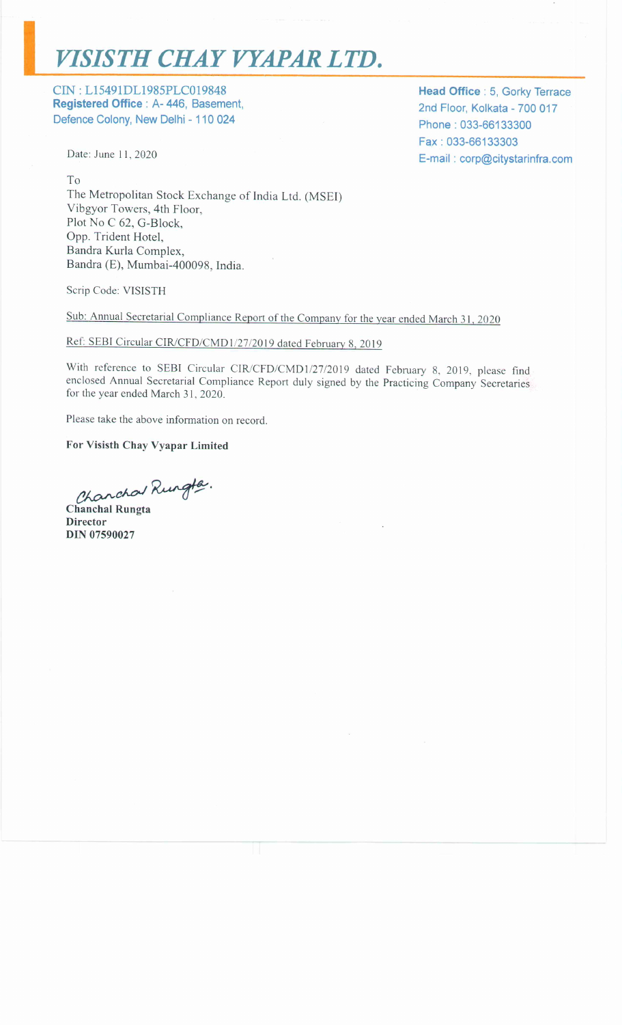## VISISTH CHAY VYAPAR LTD.

CIN: L15491DL1985PLC019848 Registered Office : A-446, Basement, Defence Colony, New Delhi - 110 024

Date: June 11, 2020

 $To$ The Metropolitan Stock Exchange of India Ltd. (MSEI) Vibgyor Towers, 4th Floor, Plot No C 62, G-Block, Opp. Trident Hotel, Bandra Kurla Complex, Bandra (E), Mumbai-400098, India.

Scrip Code: VISISTH

Sub: Annual Secretarial Compliance Report of the Company for the year ended March 31, 2020

## Ref: SEBI Circular CIR/CFD/CMD1/27/2019 dated February 8, 2019

With reference to SEBI Circular CIR/CFD/CMD1/27/2019 dated February 8, 2019, please find enclosed Annual Secretarial Compliance Report duly signed by the Practicing Company Secretaries for the year ended March 31, 2020.

Please take the above information on record.

For Visisth Chay Vyapar Limited

Chanchal Rungte.

**Chanchal Rungta Director DIN 07590027** 

Head Office : 5, Gorky Terrace 2nd Floor, Kolkata - 700 017 Phone: 033-66133300 Fax: 033-66133303 E-mail: corp@citystarinfra.com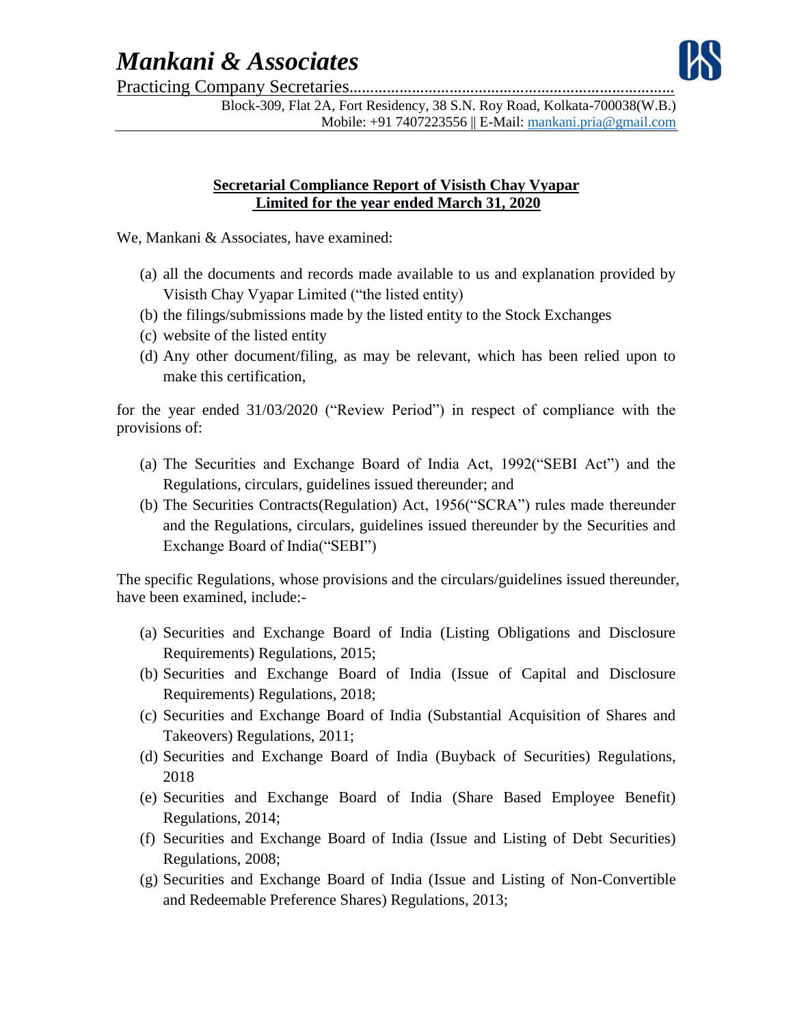## *Mankani & Associates*



Practicing Company Secretaries……………………………………………………………………

Block-309, Flat 2A, Fort Residency, 38 S.N. Roy Road, Kolkata-700038(W.B.) Mobile: +91 7407223556 || E-Mail: [mankani.pria@gmail.com](mailto:mankani.pria@gmail.com)

## **Secretarial Compliance Report of Visisth Chay Vyapar Limited for the year ended March 31, 2020**

We, Mankani & Associates, have examined:

- (a) all the documents and records made available to us and explanation provided by Visisth Chay Vyapar Limited ("the listed entity)
- (b) the filings/submissions made by the listed entity to the Stock Exchanges
- (c) website of the listed entity
- (d) Any other document/filing, as may be relevant, which has been relied upon to make this certification,

for the year ended 31/03/2020 ("Review Period") in respect of compliance with the provisions of:

- (a) The Securities and Exchange Board of India Act, 1992("SEBI Act") and the Regulations, circulars, guidelines issued thereunder; and
- (b) The Securities Contracts(Regulation) Act, 1956("SCRA") rules made thereunder and the Regulations, circulars, guidelines issued thereunder by the Securities and Exchange Board of India("SEBI")

The specific Regulations, whose provisions and the circulars/guidelines issued thereunder, have been examined, include:-

- (a) Securities and Exchange Board of India (Listing Obligations and Disclosure Requirements) Regulations, 2015;
- (b) Securities and Exchange Board of India (Issue of Capital and Disclosure Requirements) Regulations, 2018;
- (c) Securities and Exchange Board of India (Substantial Acquisition of Shares and Takeovers) Regulations, 2011;
- (d) Securities and Exchange Board of India (Buyback of Securities) Regulations, 2018
- (e) Securities and Exchange Board of India (Share Based Employee Benefit) Regulations, 2014;
- (f) Securities and Exchange Board of India (Issue and Listing of Debt Securities) Regulations, 2008;
- (g) Securities and Exchange Board of India (Issue and Listing of Non-Convertible and Redeemable Preference Shares) Regulations, 2013;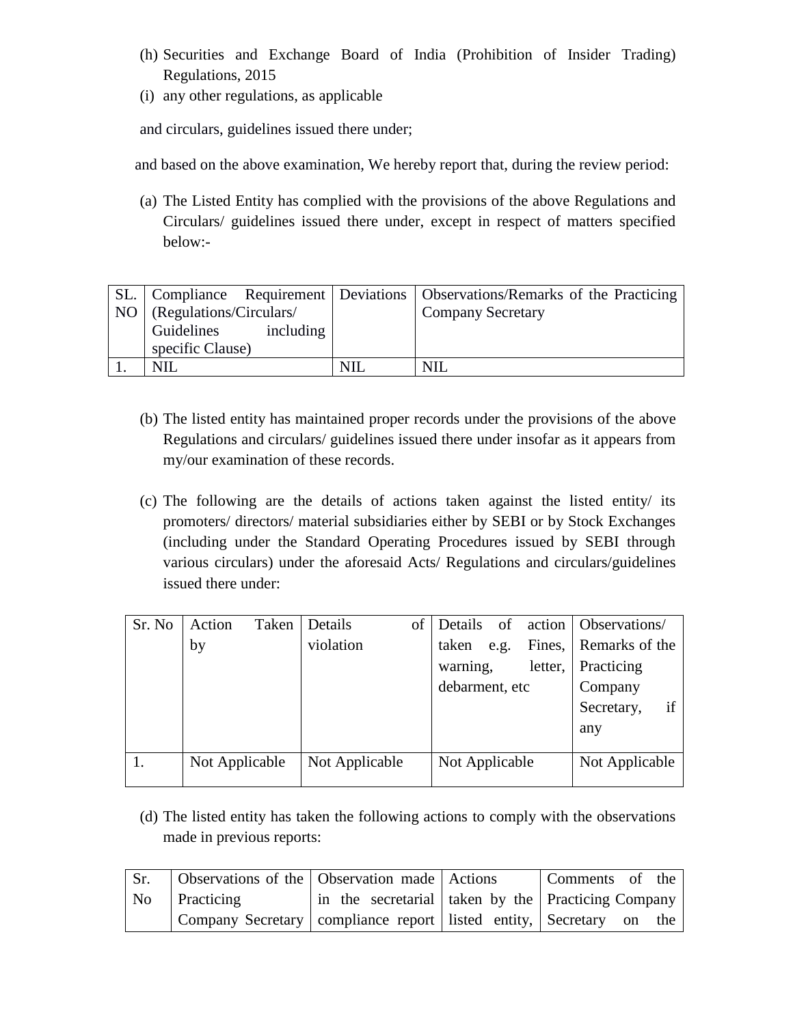- (h) Securities and Exchange Board of India (Prohibition of Insider Trading) Regulations, 2015
- (i) any other regulations, as applicable

and circulars, guidelines issued there under;

and based on the above examination, We hereby report that, during the review period:

(a) The Listed Entity has complied with the provisions of the above Regulations and Circulars/ guidelines issued there under, except in respect of matters specified below:-

|                              |           | SL.   Compliance Requirement   Deviations   Observations/Remarks of the Practicing |
|------------------------------|-----------|------------------------------------------------------------------------------------|
| NO   (Regulations/Circulars/ |           | <b>Company Secretary</b>                                                           |
| Guidelines                   | including |                                                                                    |
| specific Clause)             |           |                                                                                    |
| NII                          |           | NII                                                                                |

- (b) The listed entity has maintained proper records under the provisions of the above Regulations and circulars/ guidelines issued there under insofar as it appears from my/our examination of these records.
- (c) The following are the details of actions taken against the listed entity/ its promoters/ directors/ material subsidiaries either by SEBI or by Stock Exchanges (including under the Standard Operating Procedures issued by SEBI through various circulars) under the aforesaid Acts/ Regulations and circulars/guidelines issued there under:

| Sr. No | Action<br>Taken | Details        | of Details          | of action Observations/ |
|--------|-----------------|----------------|---------------------|-------------------------|
|        | by              | violation      | taken<br>e.g.       | Fines, Remarks of the   |
|        |                 |                | letter,<br>warning, | Practicing              |
|        |                 |                | debarment, etc      | Company                 |
|        |                 |                |                     | if<br>Secretary,        |
|        |                 |                |                     | any                     |
|        |                 |                |                     |                         |
|        | Not Applicable  | Not Applicable | Not Applicable      | Not Applicable          |

(d) The listed entity has taken the following actions to comply with the observations made in previous reports:

| Sr. | Observations of the Observation made Actions                              |  | Comments of the                                    |
|-----|---------------------------------------------------------------------------|--|----------------------------------------------------|
|     | No Practicing                                                             |  | in the secretarial taken by the Practicing Company |
|     | Company Secretary   compliance report   listed entity,   Secretary on the |  |                                                    |